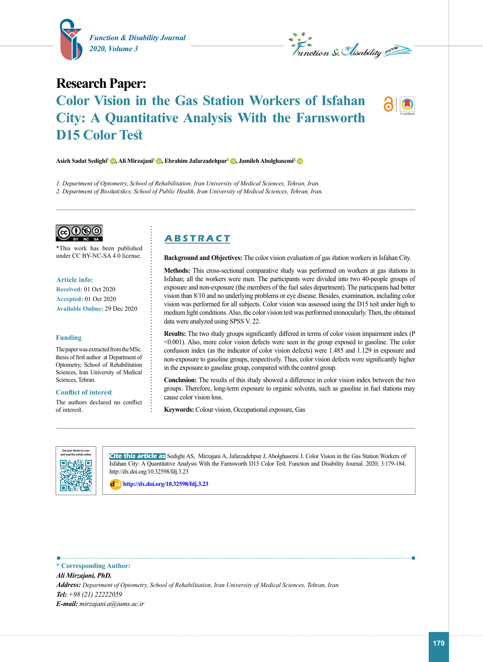



# **Research Paper: Color Vision in the Gas Station Workers of Isfahan City: A Quantitative Analysis With the Farnsworth D15 Color Test**

**Asieh Sadat Sedighi1 [,](https://orcid.org/0000-0002-7598-234X) Ali Mirzajani1 [,](https://orcid.org/0000-0003-1520-0470) Ebrahim Jafarzadehpur1 [,](https://orcid.org/0000-0002-4451-800X) Jamileh Abolghasemi[2](https://orcid.org/0000-0003-3898-2217)**

*1. Department of Optometry, School of Rehabilitation, Iran University of Medical Sciences, Tehran, Iran. 2. Department of Biostatistics, School of Public Health, Iran University of Medical Sciences, Tehran, Iran.* 

 $\mathcal{O}(\Theta)(i)$ 

\*This work has been published under CC BY-NC-SA 4.0 license.

#### **Article info:**

**Received:** 01 Oct 2020 **Accepted:** 01 Oct 2020 **Available Online:** 29 Dec 2020

#### **Funding**

The paper was extracted from the MSc. thesis of first author at Department of Optometry, School of Rehabilitation Sciences, Iran University of Medical Sciences, Tehran.

### **Conflict of interest**

The authors declared no conflict of interest.

# **A B S T R A C T**

**Background and Objectives:** The color vision evaluation of gas station workers in Isfahan City.

**Methods:** This cross-sectional comparative study was performed on workers at gas stations in Isfahan; all the workers were men. The participants were divided into two 40-people groups of exposure and non-exposure (the members of the fuel sales department). The participants had better vision than 8/10 and no underlying problems or eye disease. Besides, examination, including color vision was performed for all subjects. Color vision was assessed using the D15 test under high to medium light conditions. Also, the color vision test was performed monocularly. Then, the obtained data were analyzed using SPSS V. 22.

**Results:** The two study groups significantly differed in terms of color vision impairment index (P <0.001). Also, more color vision defects were seen in the group exposed to gasoline. The color confusion index (as the indicator of color vision defects) were 1.485 and 1.129 in exposure and non-exposure to gasoline groups, respectively. Thus, color vision defects were significantly higher in the exposure to gasoline group, compared with the control group.

**Conclusion:** The results of this study showed a difference in color vision index between the two groups. Therefore, long-term exposure to organic solvents, such as gasoline in fuel stations may cause color vision loss.

**Keywords:** Colour vision, Occupational exposure, Gas



**Cite this article as** Sedighi AS, Mirzajani A, Jafarzadehpur J, Abolghasemi J. Color Vision in the Gas Station Workers of Isfahan City: A Quantitative Analysis With the Farnsworth D15 Color Test. Function and Disability Journal. 2020; 3:179-184. http://dx.doi.org/10.32598/fdj.3.23

: **<http://dx.doi.org/10.32598/fdj.3.23>**

**.............................. \* Corresponding Author:** *Ali Mirzajani, PhD. Address: Department of Optometry, School of Rehabilitation, Iran University of Medical Sciences, Tehran, Iran. Tel: +98 (21) 22222059 E-mail: mirzajani.a@iums.ac.ir*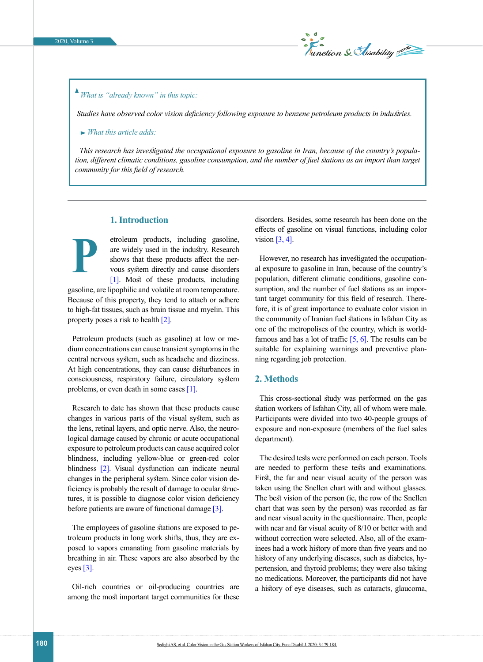

# *What is "already known" in this topic:*

 *Studies have observed color vision deficiency following exposure to benzene petroleum products in industries.*

 *What this article adds:*

*This research has investigated the occupational exposure to gasoline in Iran, because of the country's population, different climatic conditions, gasoline consumption, and the number of fuel stations as an import than target community for this field of research.*

### **1. Introduction**

property poses a risk to health [\[2\].](#page-4-1)

etroleum products, including gasoline, are widely used in the industry. Research shows that these products affect the nervous system directly and cause disorders [\[1\]](#page-4-0). Most of these products, including gasoline, are lipophilic and volatile at room temperature. Because of this property, they tend to attach or adhere to high-fat tissues, such as brain tissue and myelin. This **P**

Petroleum products (such as gasoline) at low or medium concentrations can cause transient symptoms in the central nervous system, such as headache and dizziness. At high concentrations, they can cause disturbances in consciousness, respiratory failure, circulatory system problems, or even death in some cases [\[1\]](#page-4-0).

Research to date has shown that these products cause changes in various parts of the visual system, such as the lens, retinal layers, and optic nerve. Also, the neurological damage caused by chronic or acute occupational exposure to petroleum products can cause acquired color blindness, including yellow-blue or green-red color blindness [\[2\].](#page-4-1) Visual dysfunction can indicate neural changes in the peripheral system. Since color vision deficiency is probably the result of damage to ocular structures, it is possible to diagnose color vision deficiency before patients are aware of functional damage  $\lceil 3 \rceil$ .

The employees of gasoline stations are exposed to petroleum products in long work shifts, thus, they are exposed to vapors emanating from gasoline materials by breathing in air. These vapors are also absorbed by the eyes  $[3]$ .

Oil-rich countries or oil-producing countries are among the most important target communities for these disorders. Besides, some research has been done on the effects of gasoline on visual functions, including color vision  $[3, 4]$ .

However, no research has investigated the occupational exposure to gasoline in Iran, because of the country's population, different climatic conditions, gasoline consumption, and the number of fuel stations as an important target community for this field of research. Therefore, it is of great importance to evaluate color vision in the community of Iranian fuel stations in Isfahan City as one of the metropolises of the country, which is worldfamous and has a lot of traffic  $[5, 6]$  $[5, 6]$ . The results can be suitable for explaining warnings and preventive planning regarding job protection.

## **2. Methods**

This cross-sectional study was performed on the gas station workers of Isfahan City, all of whom were male. Participants were divided into two 40-people groups of exposure and non-exposure (members of the fuel sales department).

The desired tests were performed on each person. Tools are needed to perform these tests and examinations. First, the far and near visual acuity of the person was taken using the Snellen chart with and without glasses. The best vision of the person (ie, the row of the Snellen chart that was seen by the person) was recorded as far and near visual acuity in the questionnaire. Then, people with near and far visual acuity of 8/10 or better with and without correction were selected. Also, all of the examinees had a work history of more than five years and no history of any underlying diseases, such as diabetes, hypertension, and thyroid problems; they were also taking no medications. Moreover, the participants did not have a history of eye diseases, such as cataracts, glaucoma,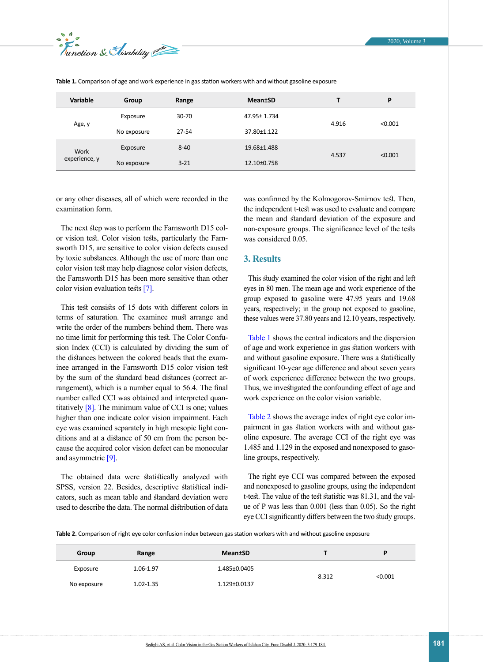

| Variable              | Group       | Range    | <b>Mean</b> tSD |       | P       |
|-----------------------|-------------|----------|-----------------|-------|---------|
| Age, y                | Exposure    | 30-70    | 47.95± 1.734    | 4.916 | < 0.001 |
|                       | No exposure | 27-54    | 37.80±1.122     |       |         |
| Work<br>experience, y | Exposure    | $8 - 40$ | 19.68±1.488     | 4.537 | < 0.001 |
|                       | No exposure | $3 - 21$ | 12.10±0.758     |       |         |

<span id="page-2-0"></span>**Table 1.** Comparison of age and work experience in gas station workers with and without gasoline exposure

or any other diseases, all of which were recorded in the examination form.

The next step was to perform the Farnsworth D15 color vision test. Color vision tests, particularly the Farnsworth D15, are sensitive to color vision defects caused by toxic substances. Although the use of more than one color vision test may help diagnose color vision defects, the Farnsworth D15 has been more sensitive than other color vision evaluation tests [7].

This test consists of 15 dots with different colors in terms of saturation. The examinee must arrange and write the order of the numbers behind them. There was no time limit for performing this test. The Color Confusion Index (CCI) is calculated by dividing the sum of the distances between the colored beads that the examinee arranged in the Farnsworth D15 color vision test by the sum of the standard bead distances (correct arrangement), which is a number equal to 56.4. The final number called CCI was obtained and interpreted quantitatively  $[8]$ . The minimum value of CCI is one; values higher than one indicate color vision impairment. Each eye was examined separately in high mesopic light conditions and at a distance of 50 cm from the person because the acquired color vision defect can be monocular and asymmetric [\[9\].](#page-4-5)

The obtained data were statistically analyzed with SPSS, version 22. Besides, descriptive statistical indicators, such as mean table and standard deviation were used to describe the data. The normal distribution of data was confirmed by the Kolmogorov-Smirnov test. Then, the independent t-test was used to evaluate and compare the mean and standard deviation of the exposure and non-exposure groups. The significance level of the tests was considered 0.05.

# **3. Results**

This study examined the color vision of the right and left eyes in 80 men. The mean age and work experience of the group exposed to gasoline were 47.95 years and 19.68 years, respectively; in the group not exposed to gasoline, these values were 37.80 years and 12.10 years, respectively.

[Table 1](#page-2-0) shows the central indicators and the dispersion of age and work experience in gas station workers with and without gasoline exposure. There was a statistically significant 10-year age difference and about seven years of work experience difference between the two groups. Thus, we investigated the confounding effect of age and work experience on the color vision variable.

[Table 2](#page-2-1) shows the average index of right eye color impairment in gas station workers with and without gasoline exposure. The average CCI of the right eye was 1.485 and 1.129 in the exposed and nonexposed to gasoline groups, respectively.

The right eye CCI was compared between the exposed and nonexposed to gasoline groups, using the independent t-test. The value of the test statistic was 81.31, and the value of P was less than 0.001 (less than 0.05). So the right eye CCI significantly differs between the two study groups.

<span id="page-2-1"></span>**Table 2.** Comparison of right eye color confusion index between gas station workers with and without gasoline exposure

| Group       | Range     | <b>Mean</b> tSD |       | D       |
|-------------|-----------|-----------------|-------|---------|
| Exposure    | 1.06-1.97 | 1.485±0.0405    | 8.312 | < 0.001 |
| No exposure | 1.02-1.35 | 1.129±0.0137    |       |         |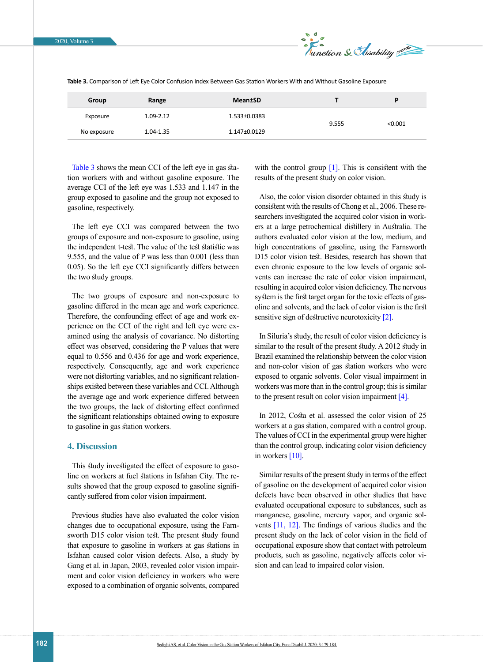

| Group       | Range         | <b>Mean</b> tSD    |       | D       |
|-------------|---------------|--------------------|-------|---------|
| Exposure    | $1.09 - 2.12$ | 1.533±0.0383       | 9.555 | < 0.001 |
| No exposure | 1.04-1.35     | $1.147 \pm 0.0129$ |       |         |

<span id="page-3-0"></span>**Table 3.** Comparison of Left Eye Color Confusion Index Between Gas Station Workers With and Without Gasoline Exposure

[Table 3](#page-3-0) shows the mean CCI of the left eye in gas station workers with and without gasoline exposure. The average CCI of the left eye was 1.533 and 1.147 in the group exposed to gasoline and the group not exposed to gasoline, respectively.

The left eye CCI was compared between the two groups of exposure and non-exposure to gasoline, using the independent t-test. The value of the test statistic was 9.555, and the value of P was less than 0.001 (less than 0.05). So the left eye CCI significantly differs between the two study groups.

The two groups of exposure and non-exposure to gasoline differed in the mean age and work experience. Therefore, the confounding effect of age and work experience on the CCI of the right and left eye were examined using the analysis of covariance. No distorting effect was observed, considering the P values that were equal to 0.556 and 0.436 for age and work experience, respectively. Consequently, age and work experience were not distorting variables, and no significant relationships existed between these variables and CCI. Although the average age and work experience differed between the two groups, the lack of distorting effect confirmed the significant relationships obtained owing to exposure to gasoline in gas station workers.

# **4. Discussion**

This study investigated the effect of exposure to gasoline on workers at fuel stations in Isfahan City. The results showed that the group exposed to gasoline significantly suffered from color vision impairment.

Previous studies have also evaluated the color vision changes due to occupational exposure, using the Farnsworth D15 color vision test. The present study found that exposure to gasoline in workers at gas stations in Isfahan caused color vision defects. Also, a study by Gang et al. in Japan, 2003, revealed color vision impairment and color vision deficiency in workers who were exposed to a combination of organic solvents, compared

with the control group  $[1]$ . This is consistent with the results of the present study on color vision.

Also, the color vision disorder obtained in this study is consistent with the results of Chong et al., 2006. These researchers investigated the acquired color vision in workers at a large petrochemical distillery in Australia. The authors evaluated color vision at the low, medium, and high concentrations of gasoline, using the Farnsworth D15 color vision test. Besides, research has shown that even chronic exposure to the low levels of organic solvents can increase the rate of color vision impairment, resulting in acquired color vision deficiency. The nervous system is the first target organ for the toxic effects of gasoline and solvents, and the lack of color vision is the first sensitive sign of destructive neurotoxicity [\[2\]](#page-4-1).

In Siluria's study, the result of color vision deficiency is similar to the result of the present study. A 2012 study in Brazil examined the relationship between the color vision and non-color vision of gas station workers who were exposed to organic solvents. Color visual impairment in workers was more than in the control group; this is similar to the present result on color vision impairment  $[4]$ .

In 2012, Costa et al. assessed the color vision of 25 workers at a gas station, compared with a control group. The values of CCI in the experimental group were higher than the control group, indicating color vision deficiency in workers [\[10\]](#page-4-6).

Similar results of the present study in terms of the effect of gasoline on the development of acquired color vision defects have been observed in other studies that have evaluated occupational exposure to substances, such as manganese, gasoline, mercury vapor, and organic solvents [\[11,](#page-4-7) [12\].](#page-4-8) The findings of various studies and the present study on the lack of color vision in the field of occupational exposure show that contact with petroleum products, such as gasoline, negatively affects color vision and can lead to impaired color vision.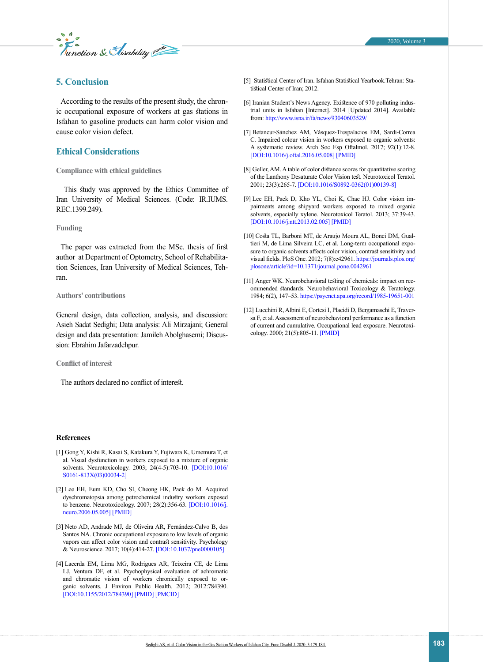*E* s<br>unction & *Slisability* pure

# **5. Conclusion**

According to the results of the present study, the chronic occupational exposure of workers at gas stations in Isfahan to gasoline products can harm color vision and cause color vision defect.

# **Ethical Considerations**

### **Compliance with ethical guidelines**

 This study was approved by the Ethics Committee of Iran University of Medical Sciences. (Code: IR.IUMS. REC.1399.249).

#### **Funding**

The paper was extracted from the MSc. thesis of first author at Department of Optometry, School of Rehabilitation Sciences, Iran University of Medical Sciences, Tehran.

#### **Authors' contributions**

General design, data collection, analysis, and discussion: Asieh Sadat Sedighi; Data analysis: Ali Mirzajani; General design and data presentation: Jamileh Abolghasemi; Discussion: Ebrahim Jafarzadehpur.

#### **Conflict of interest**

The authors declared no conflict of interest.

#### **References**

- <span id="page-4-0"></span>[1] Gong Y, Kishi R, Kasai S, Katakura Y, Fujiwara K, Umemura T, et al. Visual dysfunction in workers exposed to a mixture of organic solvents. Neurotoxicology. 2003; 24(4-5):703-10. [[DOI:10.1016/](https://doi.org/10.1016/S0161-813X(03)00034-2) [S0161-813X\(03\)00034-2](https://doi.org/10.1016/S0161-813X(03)00034-2)]
- <span id="page-4-1"></span>[2] Lee EH, Eum KD, Cho SI, Cheong HK, Paek do M. Acquired dyschromatopsia among petrochemical industry workers exposed to benzene. Neurotoxicology. 2007; 28(2):356-63. [[DOI:10.1016/j.](https://doi.org/10.1016/j.neuro.2006.05.005) [neuro.2006.05.005](https://doi.org/10.1016/j.neuro.2006.05.005)] [\[PMID\]](https://www.ncbi.nlm.nih.gov/pubmed/16806479)
- [3] Neto AD, Andrade MJ, de Oliveira AR, Fernández-Calvo B, dos Santos NA. Chronic occupational exposure to low levels of organic vapors can affect color vision and contrast sensitivity. Psychology & Neuroscience. 2017; 10(4):414-27. [\[DOI:10.1037/pne0000105\]](https://psycnet.apa.org/record/2017-43850-001)
- <span id="page-4-2"></span>[4] Lacerda EM, Lima MG, Rodrigues AR, Teixeira CE, de Lima LJ, Ventura DF, et al. Psychophysical evaluation of achromatic and chromatic vision of workers chronically exposed to organic solvents. J Environ Public Health. 2012; 2012:784390. [\[DOI:10.1155/2012/784390](https://doi.org/10.1155/2012/784390)] [\[PMID\]](https://www.ncbi.nlm.nih.gov/pubmed/22220188) [[PMCID](http://www.ncbi.nlm.nih.gov/pmc/articles/PMC3246754)]
- <span id="page-4-3"></span>[5] Statistical Center of Iran. Isfahan Statistical Yearbook.Tehran: Statistical Center of Iran; 2012.
- [6] Iranian Student's News Agency. Existence of 970 polluting industrial units in Isfahan [Internet]. 2014 [Updated 2014]. Available from: [http://www.isna.ir/fa/news/93040603529/](https://www.isna.ir/news/93040603529/%D9%88%D8%AC%D9%88%D8%AF970-%D9%88%D8%A7%D8%AD%D8%AF%D8%B5%D9%86%D8%B9%D8%AA%DB%8C-%D8%A2%D9%84%D8%A7%DB%8C%D9%86%D8%AF%D9%87-%D8%AF%D8%B1-%D8%A7%D8%B5%D9%81%D9%87%D8%A7%D9%86)
- [7] Betancur-Sánchez AM, Vásquez-Trespalacios EM, Sardi-Correa C. Impaired colour vision in workers exposed to organic solvents: A systematic review. Arch Soc Esp Oftalmol. 2017; 92(1):12-8. [[DOI:10.1016/j.oftal.2016.05.008\]](https://doi.org/10.1016/j.oftal.2016.05.008) [\[PMID](https://www.ncbi.nlm.nih.gov/pubmed/27422480)]
- <span id="page-4-4"></span>[8] Geller, AM. A table of color distance scores for quantitative scoring of the Lanthony Desaturate Color Vision test. Neurotoxicol Teratol. 2001; 23(3):265-7. [[DOI:10.1016/S0892-0362\(01\)00139-8\]](https://doi.org/10.1016/S0892-0362(01)00139-8)
- <span id="page-4-5"></span>[9] Lee EH, Paek D, Kho YL, Choi K, Chae HJ. Color vision impairments among shipyard workers exposed to mixed organic solvents, especially xylene. Neurotoxicol Teratol. 2013; 37:39-43. [[DOI:10.1016/j.ntt.2013.02.005](https://doi.org/10.1016/j.ntt.2013.02.005)] [\[PMID](https://www.ncbi.nlm.nih.gov/pubmed/23422509)]
- <span id="page-4-6"></span>[10] Costa TL, Barboni MT, de Araujo Moura AL, Bonci DM, Gualtieri M, de Lima Silveira LC, et al. Long-term occupational exposure to organic solvents affects color vision, contrast sensitivity and visual fields. PloS One. 2012; 7(8):e42961. [https://journals.plos.org/](https://journals.plos.org/plosone/article?id=10.1371/journal.pone.0042961) [plosone/article?id=10.1371/journal.pone.0042961](https://journals.plos.org/plosone/article?id=10.1371/journal.pone.0042961)
- <span id="page-4-7"></span>[11] Anger WK. Neurobehavioral testing of chemicals: impact on recommended standards. Neurobehavioral Toxicology & Teratology. 1984; 6(2), 147–53.<https://psycnet.apa.org/record/1985-19651-001>
- <span id="page-4-8"></span>[12] Lucchini R, Albini E, Cortesi I, Placidi D, Bergamaschi E, Traversa F, et al. Assessment of neurobehavioral performance as a function of current and cumulative. Occupational lead exposure. Neurotoxicology. 2000; 21(5):805-11. [\[PMID\]](https://europepmc.org/article/med/11130286)